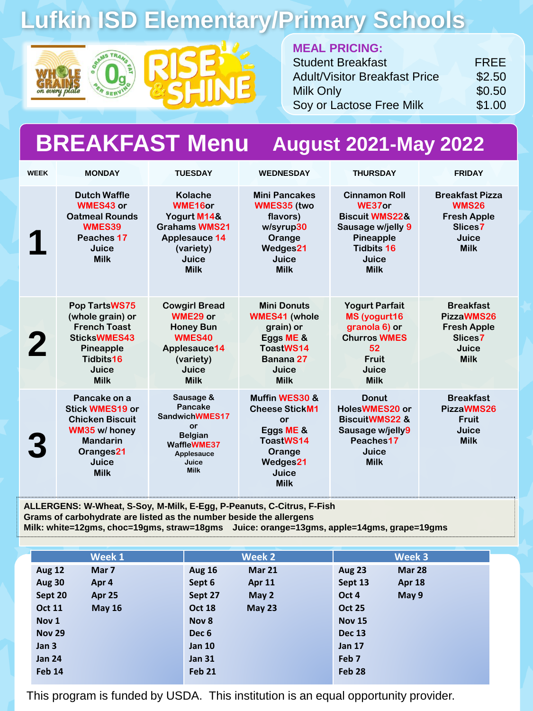# **Lufkin ISD Elementary/Primary Schools**





#### **MEAL PRICING:**

| <b>Student Breakfast</b>             | <b>FREE</b> |
|--------------------------------------|-------------|
| <b>Adult/Visitor Breakfast Price</b> | \$2.50      |
| <b>Milk Only</b>                     | \$0.50      |
| Soy or Lactose Free Milk             | \$1.00      |

#### **BREAKFAST Menu August 2021-May 2022**

| <b>WEEK</b> | <b>MONDAY</b>                                                                                                                             | <b>TUESDAY</b>                                                                                                                | <b>WEDNESDAY</b>                                                                                                       | <b>THURSDAY</b>                                                                                                                            | <b>FRIDAY</b>                                                                                   |
|-------------|-------------------------------------------------------------------------------------------------------------------------------------------|-------------------------------------------------------------------------------------------------------------------------------|------------------------------------------------------------------------------------------------------------------------|--------------------------------------------------------------------------------------------------------------------------------------------|-------------------------------------------------------------------------------------------------|
|             | <b>Dutch Waffle</b><br><b>WMES43 or</b><br><b>Oatmeal Rounds</b><br>WMES39<br>Peaches 17<br>Juice<br><b>Milk</b>                          | <b>Kolache</b><br>WME16or<br>Yogurt M14&<br><b>Grahams WMS21</b><br><b>Applesauce 14</b><br>(variety)<br>Juice<br><b>Milk</b> | <b>Mini Pancakes</b><br><b>WMES35 (two</b><br>flavors)<br>w/syrup30<br>Orange<br>Wedges21<br>Juice<br><b>Milk</b>      | <b>Cinnamon Roll</b><br>WE37or<br><b>Biscuit WMS22&amp;</b><br>Sausage w/jelly 9<br>Pineapple<br><b>Tidbits 16</b><br>Juice<br><b>Milk</b> | <b>Breakfast Pizza</b><br><b>WMS26</b><br><b>Fresh Apple</b><br>Slices7<br>Juice<br><b>Milk</b> |
|             | Pop TartsWS75<br>(whole grain) or<br><b>French Toast</b><br><b>SticksWMES43</b><br>Pineapple<br>Tidbits16<br>Juice<br><b>Milk</b>         | <b>Cowgirl Bread</b><br>WME29 or<br><b>Honey Bun</b><br>WMES40<br>Applesauce14<br>(variety)<br>Juice<br><b>Milk</b>           | <b>Mini Donuts</b><br><b>WMES41 (whole</b><br>grain) or<br>Eggs ME &<br>ToastWS14<br>Banana 27<br>Juice<br><b>Milk</b> | <b>Yogurt Parfait</b><br>MS (yogurt16<br>granola 6) or<br><b>Churros WMES</b><br>52<br>Fruit<br>Juice<br><b>Milk</b>                       | <b>Breakfast</b><br>PizzaWMS26<br><b>Fresh Apple</b><br>Slices7<br>Juice<br><b>Milk</b>         |
|             | Pancake on a<br><b>Stick WMES19 or</b><br><b>Chicken Biscuit</b><br>WM35 w/ honey<br><b>Mandarin</b><br>Oranges21<br>Juice<br><b>Milk</b> | Sausage &<br>Pancake<br>SandwichWMES17<br>or<br><b>Belgian</b><br>WaffleWME37<br>Applesauce<br>Juice<br><b>Milk</b>           | Muffin WES30 &<br><b>Cheese StickM1</b><br>or<br>Eggs ME &<br>ToastWS14<br>Orange<br>Wedges21<br>Juice<br><b>Milk</b>  | <b>Donut</b><br>HolesWMES20 or<br><b>BiscuitWMS22 &amp;</b><br>Sausage w/jelly9<br>Peaches17<br>Juice<br><b>Milk</b>                       | <b>Breakfast</b><br>PizzaWMS26<br><b>Fruit</b><br>Juice<br><b>Milk</b>                          |

**ALLERGENS: W-Wheat, S-Soy, M-Milk, E-Egg, P-Peanuts, C-Citrus, F-Fish Grams of carbohydrate are listed as the number beside the allergens Milk: white=12gms, choc=19gms, straw=18gms Juice: orange=13gms, apple=14gms, grape=19gms**

|                  | Week 1        |                  | Week 2            |               | Week 3        |
|------------------|---------------|------------------|-------------------|---------------|---------------|
| <b>Aug 12</b>    | Mar 7         | <b>Aug 16</b>    | Mar 21            | <b>Aug 23</b> | <b>Mar 28</b> |
| <b>Aug 30</b>    | Apr 4         | Sept 6           | <b>Apr 11</b>     | Sept 13       | <b>Apr 18</b> |
| Sept 20          | Apr 25        | Sept 27          | May 2             | Oct 4         | May 9         |
| <b>Oct 11</b>    | <b>May 16</b> | <b>Oct 18</b>    | May <sub>23</sub> | <b>Oct 25</b> |               |
| Nov <sub>1</sub> |               | Nov 8            |                   | <b>Nov 15</b> |               |
| <b>Nov 29</b>    |               | Dec <sub>6</sub> |                   | <b>Dec 13</b> |               |
| Jan 3            |               | <b>Jan 10</b>    |                   | <b>Jan 17</b> |               |
| <b>Jan 24</b>    |               | <b>Jan 31</b>    |                   | Feb 7         |               |
| Feb 14           |               | Feb 21           |                   | Feb 28        |               |
|                  |               |                  |                   |               |               |

This program is funded by USDA. This institution is an equal opportunity provider.